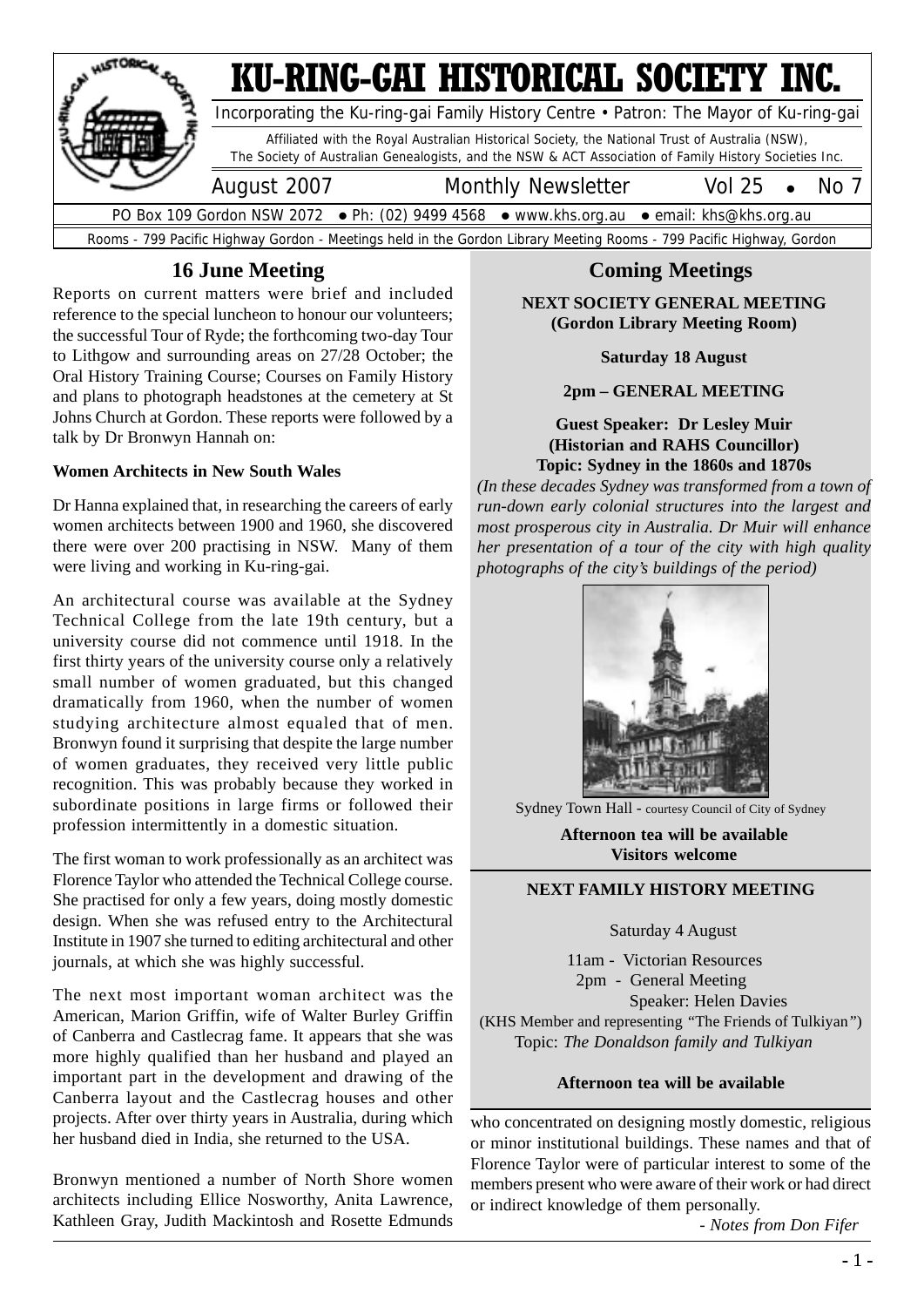

## **16 June Meeting**

Reports on current matters were brief and included reference to the special luncheon to honour our volunteers; the successful Tour of Ryde; the forthcoming two-day Tour to Lithgow and surrounding areas on 27/28 October; the Oral History Training Course; Courses on Family History and plans to photograph headstones at the cemetery at St Johns Church at Gordon. These reports were followed by a talk by Dr Bronwyn Hannah on:

#### **Women Architects in New South Wales**

Dr Hanna explained that, in researching the careers of early women architects between 1900 and 1960, she discovered there were over 200 practising in NSW. Many of them were living and working in Ku-ring-gai.

An architectural course was available at the Sydney Technical College from the late 19th century, but a university course did not commence until 1918. In the first thirty years of the university course only a relatively small number of women graduated, but this changed dramatically from 1960, when the number of women studying architecture almost equaled that of men. Bronwyn found it surprising that despite the large number of women graduates, they received very little public recognition. This was probably because they worked in subordinate positions in large firms or followed their profession intermittently in a domestic situation.

The first woman to work professionally as an architect was Florence Taylor who attended the Technical College course. She practised for only a few years, doing mostly domestic design. When she was refused entry to the Architectural Institute in 1907 she turned to editing architectural and other journals, at which she was highly successful.

The next most important woman architect was the American, Marion Griffin, wife of Walter Burley Griffin of Canberra and Castlecrag fame. It appears that she was more highly qualified than her husband and played an important part in the development and drawing of the Canberra layout and the Castlecrag houses and other projects. After over thirty years in Australia, during which her husband died in India, she returned to the USA.

Bronwyn mentioned a number of North Shore women architects including Ellice Nosworthy, Anita Lawrence, Kathleen Gray, Judith Mackintosh and Rosette Edmunds

## **Coming Meetings**

**NEXT SOCIETY GENERAL MEETING (Gordon Library Meeting Room)**

**Saturday 18 August**

**2pm – GENERAL MEETING**

#### **Guest Speaker: Dr Lesley Muir (Historian and RAHS Councillor) Topic: Sydney in the 1860s and 1870s**

*(In these decades Sydney was transformed from a town of run-down early colonial structures into the largest and most prosperous city in Australia. Dr Muir will enhance her presentation of a tour of the city with high quality photographs of the city's buildings of the period)*



Sydney Town Hall - courtesy Council of City of Sydney

**Afternoon tea will be available Visitors welcome**

#### **NEXT FAMILY HISTORY MEETING**

Saturday 4 August

 11am - Victorian Resources 2pm - General Meeting Speaker: Helen Davies (KHS Member and representing *"*The Friends of Tulkiyan*"*) Topic: *The Donaldson family and Tulkiyan*

#### **Afternoon tea will be available**

who concentrated on designing mostly domestic, religious or minor institutional buildings. These names and that of Florence Taylor were of particular interest to some of the members present who were aware of their work or had direct or indirect knowledge of them personally.

*- Notes from Don Fifer*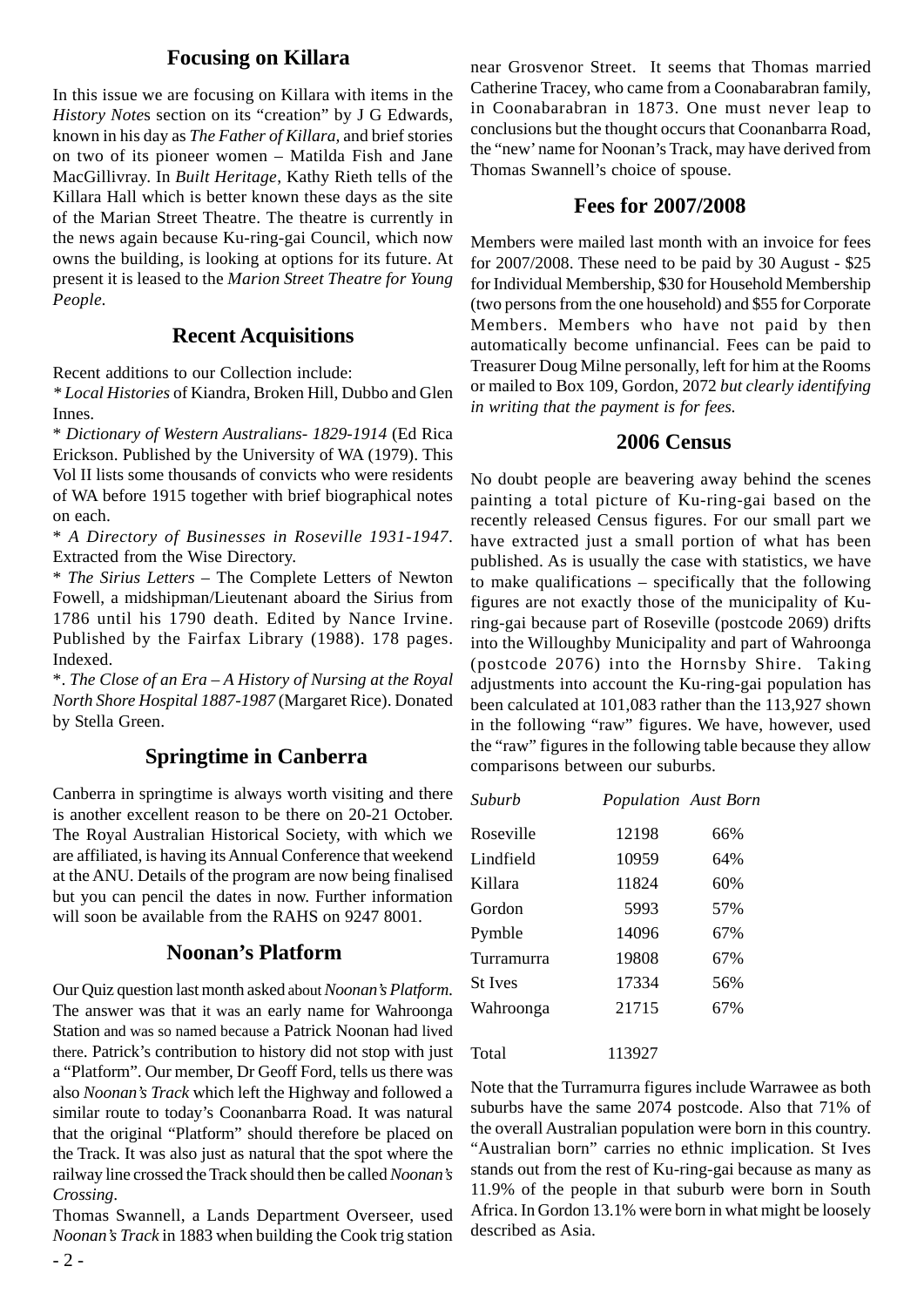#### **Focusing on Killara**

In this issue we are focusing on Killara with items in the *History Note*s section on its "creation" by J G Edwards, known in his day as *The Father of Killara,* and brief stories on two of its pioneer women – Matilda Fish and Jane MacGillivray. In *Built Heritage*, Kathy Rieth tells of the Killara Hall which is better known these days as the site of the Marian Street Theatre. The theatre is currently in the news again because Ku-ring-gai Council, which now owns the building, is looking at options for its future. At present it is leased to the *Marion Street Theatre for Young People.*

#### **Recent Acquisitions**

Recent additions to our Collection include:

*\* Local Histories* of Kiandra, Broken Hill, Dubbo and Glen Innes.

\* *Dictionary of Western Australians- 1829-1914* (Ed Rica Erickson. Published by the University of WA (1979). This Vol II lists some thousands of convicts who were residents of WA before 1915 together with brief biographical notes on each.

\* *A Directory of Businesses in Roseville 1931-1947*. Extracted from the Wise Directory.

\* *The Sirius Letters* – The Complete Letters of Newton Fowell, a midshipman/Lieutenant aboard the Sirius from 1786 until his 1790 death. Edited by Nance Irvine. Published by the Fairfax Library (1988). 178 pages. Indexed.

\*. *The Close of an Era – A History of Nursing at the Royal North Shore Hospital 1887-1987* (Margaret Rice). Donated by Stella Green.

#### **Springtime in Canberra**

Canberra in springtime is always worth visiting and there is another excellent reason to be there on 20-21 October. The Royal Australian Historical Society, with which we are affiliated, is having its Annual Conference that weekend at the ANU. Details of the program are now being finalised but you can pencil the dates in now. Further information will soon be available from the RAHS on 9247 8001.

#### **Noonan's Platform**

Our Quiz question last month asked about*Noonan's Platform*. The answer was that it was an early name for Wahroonga Station and was so named because a Patrick Noonan had lived there. Patrick's contribution to history did not stop with just a "Platform". Our member, Dr Geoff Ford, tells us there was also *Noonan's Track* which left the Highway and followed a similar route to today's Coonanbarra Road. It was natural that the original "Platform" should therefore be placed on the Track. It was also just as natural that the spot where the railway line crossed the Track should then be called *Noonan's Crossing*.

Thomas Swannell, a Lands Department Overseer, used *Noonan's Track* in 1883 when building the Cook trig station

near Grosvenor Street. It seems that Thomas married Catherine Tracey, who came from a Coonabarabran family, in Coonabarabran in 1873. One must never leap to conclusions but the thought occurs that Coonanbarra Road, the "new' name for Noonan's Track, may have derived from Thomas Swannell's choice of spouse.

#### **Fees for 2007/2008**

Members were mailed last month with an invoice for fees for 2007/2008. These need to be paid by 30 August - \$25 for Individual Membership, \$30 for Household Membership (two persons from the one household) and \$55 for Corporate Members. Members who have not paid by then automatically become unfinancial. Fees can be paid to Treasurer Doug Milne personally, left for him at the Rooms or mailed to Box 109, Gordon, 2072 *but clearly identifying in writing that the payment is for fees.*

#### **2006 Census**

No doubt people are beavering away behind the scenes painting a total picture of Ku-ring-gai based on the recently released Census figures. For our small part we have extracted just a small portion of what has been published. As is usually the case with statistics, we have to make qualifications – specifically that the following figures are not exactly those of the municipality of Kuring-gai because part of Roseville (postcode 2069) drifts into the Willoughby Municipality and part of Wahroonga (postcode 2076) into the Hornsby Shire. Taking adjustments into account the Ku-ring-gai population has been calculated at 101,083 rather than the 113,927 shown in the following "raw" figures. We have, however, used the "raw" figures in the following table because they allow comparisons between our suburbs.

| Suburb         | Population Aust Born |     |
|----------------|----------------------|-----|
| Roseville      | 12198                | 66% |
| Lindfield      | 10959                | 64% |
| Killara        | 11824                | 60% |
| Gordon         | 5993                 | 57% |
| Pymble         | 14096                | 67% |
| Turramurra     | 19808                | 67% |
| <b>St</b> Ives | 17334                | 56% |
| Wahroonga      | 21715                | 67% |
| Total          | 113927               |     |

Note that the Turramurra figures include Warrawee as both suburbs have the same 2074 postcode. Also that 71% of the overall Australian population were born in this country. "Australian born" carries no ethnic implication. St Ives stands out from the rest of Ku-ring-gai because as many as 11.9% of the people in that suburb were born in South Africa. In Gordon 13.1% were born in what might be loosely described as Asia.

 $-2 -$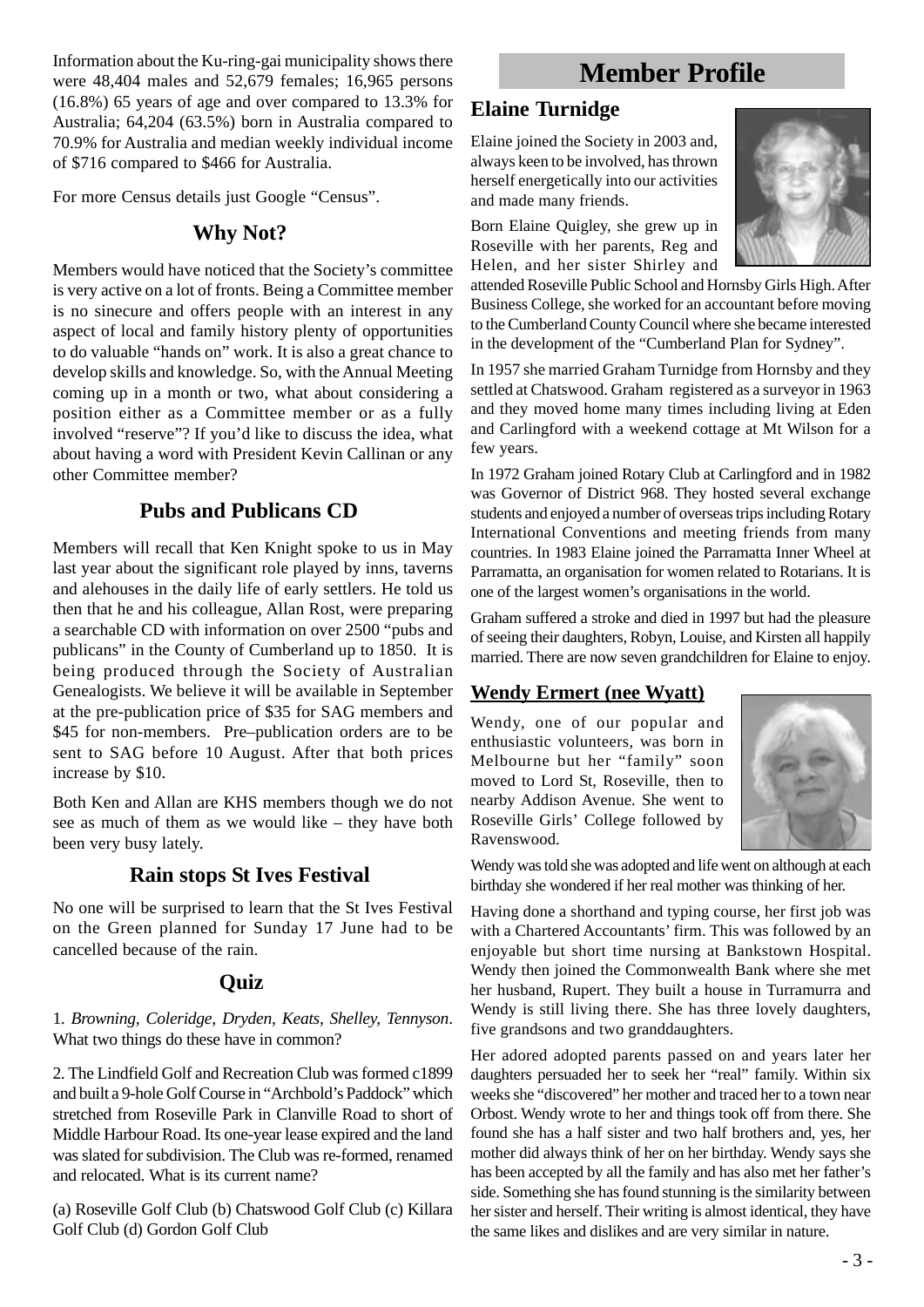Information about the Ku-ring-gai municipality shows there were 48,404 males and 52,679 females; 16,965 persons (16.8%) 65 years of age and over compared to 13.3% for Australia; 64,204 (63.5%) born in Australia compared to 70.9% for Australia and median weekly individual income of \$716 compared to \$466 for Australia.

For more Census details just Google "Census".

## **Why Not?**

Members would have noticed that the Society's committee is very active on a lot of fronts. Being a Committee member is no sinecure and offers people with an interest in any aspect of local and family history plenty of opportunities to do valuable "hands on" work. It is also a great chance to develop skills and knowledge. So, with the Annual Meeting coming up in a month or two, what about considering a position either as a Committee member or as a fully involved "reserve"? If you'd like to discuss the idea, what about having a word with President Kevin Callinan or any other Committee member?

## **Pubs and Publicans CD**

Members will recall that Ken Knight spoke to us in May last year about the significant role played by inns, taverns and alehouses in the daily life of early settlers. He told us then that he and his colleague, Allan Rost, were preparing a searchable CD with information on over 2500 "pubs and publicans" in the County of Cumberland up to 1850. It is being produced through the Society of Australian Genealogists. We believe it will be available in September at the pre-publication price of \$35 for SAG members and \$45 for non-members. Pre–publication orders are to be sent to SAG before 10 August. After that both prices increase by \$10.

Both Ken and Allan are KHS members though we do not see as much of them as we would like – they have both been very busy lately.

## **Rain stops St Ives Festival**

No one will be surprised to learn that the St Ives Festival on the Green planned for Sunday 17 June had to be cancelled because of the rain.

## **Quiz**

1. *Browning, Coleridge, Dryden, Keats, Shelley, Tennyson*. What two things do these have in common?

2. The Lindfield Golf and Recreation Club was formed c1899 and built a 9-hole Golf Course in "Archbold's Paddock" which stretched from Roseville Park in Clanville Road to short of Middle Harbour Road. Its one-year lease expired and the land was slated for subdivision. The Club was re-formed, renamed and relocated. What is its current name?

(a) Roseville Golf Club (b) Chatswood Golf Club (c) Killara Golf Club (d) Gordon Golf Club

# **Member Profile**

## **Elaine Turnidge**

Elaine joined the Society in 2003 and, always keen to be involved, has thrown herself energetically into our activities and made many friends.

Born Elaine Quigley, she grew up in Roseville with her parents, Reg and Helen, and her sister Shirley and



attended Roseville Public School and Hornsby Girls High. After Business College, she worked for an accountant before moving to the Cumberland County Council where she became interested in the development of the "Cumberland Plan for Sydney".

In 1957 she married Graham Turnidge from Hornsby and they settled at Chatswood. Graham registered as a surveyor in 1963 and they moved home many times including living at Eden and Carlingford with a weekend cottage at Mt Wilson for a few years.

In 1972 Graham joined Rotary Club at Carlingford and in 1982 was Governor of District 968. They hosted several exchange students and enjoyed a number of overseas trips including Rotary International Conventions and meeting friends from many countries. In 1983 Elaine joined the Parramatta Inner Wheel at Parramatta, an organisation for women related to Rotarians. It is one of the largest women's organisations in the world.

Graham suffered a stroke and died in 1997 but had the pleasure of seeing their daughters, Robyn, Louise, and Kirsten all happily married. There are now seven grandchildren for Elaine to enjoy.

## **Wendy Ermert (nee Wyatt)**

Wendy, one of our popular and enthusiastic volunteers, was born in Melbourne but her "family" soon moved to Lord St, Roseville, then to nearby Addison Avenue. She went to Roseville Girls' College followed by Ravenswood.



Wendy was told she was adopted and life went on although at each birthday she wondered if her real mother was thinking of her.

Having done a shorthand and typing course, her first job was with a Chartered Accountants' firm. This was followed by an enjoyable but short time nursing at Bankstown Hospital. Wendy then joined the Commonwealth Bank where she met her husband, Rupert. They built a house in Turramurra and Wendy is still living there. She has three lovely daughters, five grandsons and two granddaughters.

Her adored adopted parents passed on and years later her daughters persuaded her to seek her "real" family. Within six weeks she "discovered" her mother and traced her to a town near Orbost. Wendy wrote to her and things took off from there. She found she has a half sister and two half brothers and, yes, her mother did always think of her on her birthday. Wendy says she has been accepted by all the family and has also met her father's side. Something she has found stunning is the similarity between her sister and herself. Their writing is almost identical, they have the same likes and dislikes and are very similar in nature.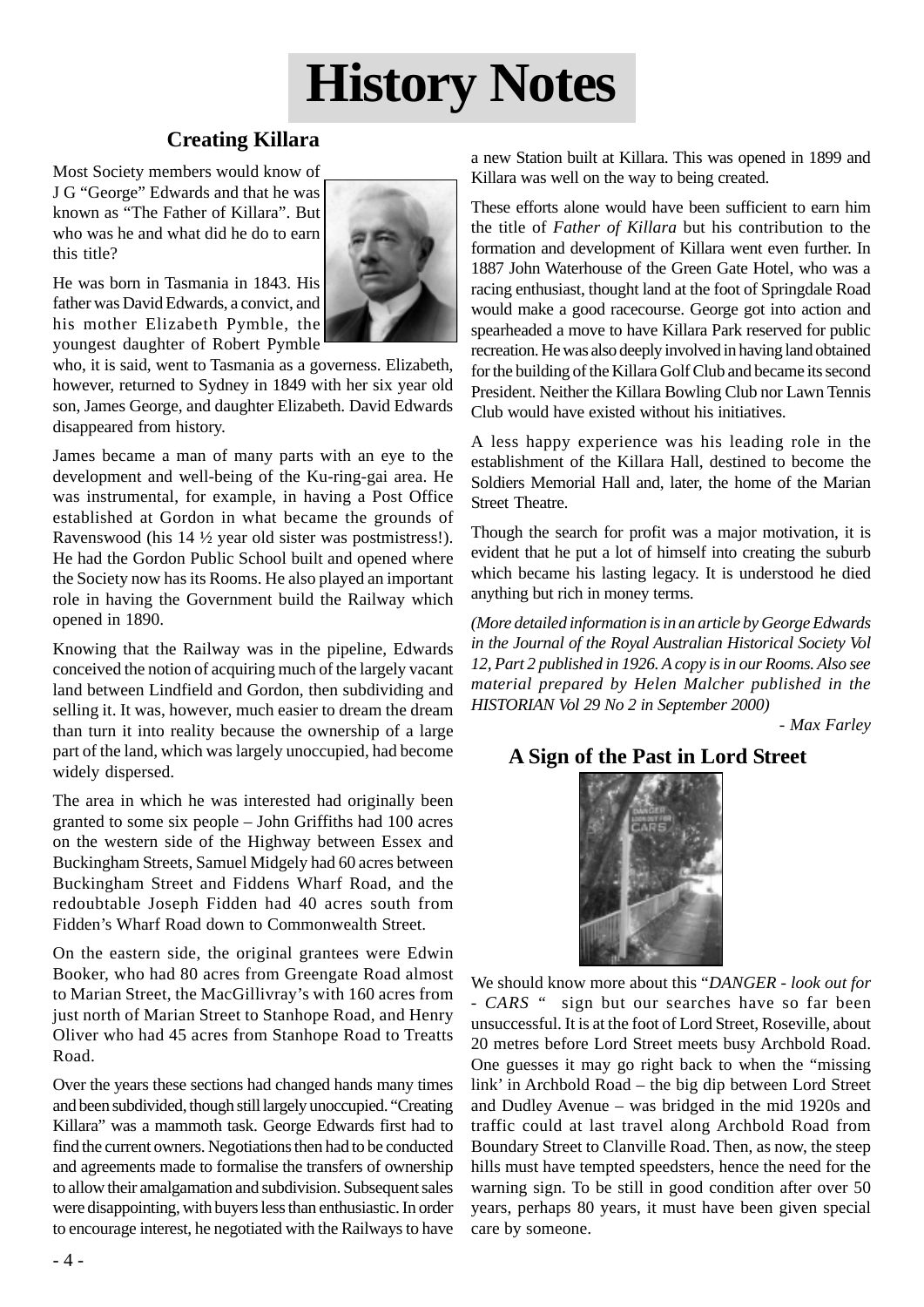# **History Notes**

## **Creating Killara**

Most Society members would know of J G "George" Edwards and that he was known as "The Father of Killara". But who was he and what did he do to earn this title?

He was born in Tasmania in 1843. His father was David Edwards, a convict, and his mother Elizabeth Pymble, the youngest daughter of Robert Pymble



who, it is said, went to Tasmania as a governess. Elizabeth, however, returned to Sydney in 1849 with her six year old son, James George, and daughter Elizabeth. David Edwards disappeared from history.

James became a man of many parts with an eye to the development and well-being of the Ku-ring-gai area. He was instrumental, for example, in having a Post Office established at Gordon in what became the grounds of Ravenswood (his 14 ½ year old sister was postmistress!). He had the Gordon Public School built and opened where the Society now has its Rooms. He also played an important role in having the Government build the Railway which opened in 1890.

Knowing that the Railway was in the pipeline, Edwards conceived the notion of acquiring much of the largely vacant land between Lindfield and Gordon, then subdividing and selling it. It was, however, much easier to dream the dream than turn it into reality because the ownership of a large part of the land, which was largely unoccupied, had become widely dispersed.

The area in which he was interested had originally been granted to some six people – John Griffiths had 100 acres on the western side of the Highway between Essex and Buckingham Streets, Samuel Midgely had 60 acres between Buckingham Street and Fiddens Wharf Road, and the redoubtable Joseph Fidden had 40 acres south from Fidden's Wharf Road down to Commonwealth Street.

On the eastern side, the original grantees were Edwin Booker, who had 80 acres from Greengate Road almost to Marian Street, the MacGillivray's with 160 acres from just north of Marian Street to Stanhope Road, and Henry Oliver who had 45 acres from Stanhope Road to Treatts Road.

Over the years these sections had changed hands many times and been subdivided, though still largely unoccupied. "Creating Killara" was a mammoth task. George Edwards first had to find the current owners. Negotiations then had to be conducted and agreements made to formalise the transfers of ownership to allow their amalgamation and subdivision. Subsequent sales were disappointing, with buyers less than enthusiastic. In order to encourage interest, he negotiated with the Railways to have a new Station built at Killara. This was opened in 1899 and Killara was well on the way to being created.

These efforts alone would have been sufficient to earn him the title of *Father of Killara* but his contribution to the formation and development of Killara went even further. In 1887 John Waterhouse of the Green Gate Hotel, who was a racing enthusiast, thought land at the foot of Springdale Road would make a good racecourse. George got into action and spearheaded a move to have Killara Park reserved for public recreation. He was also deeply involved in having land obtained for the building of the Killara Golf Club and became its second President. Neither the Killara Bowling Club nor Lawn Tennis Club would have existed without his initiatives.

A less happy experience was his leading role in the establishment of the Killara Hall, destined to become the Soldiers Memorial Hall and, later, the home of the Marian Street Theatre.

Though the search for profit was a major motivation, it is evident that he put a lot of himself into creating the suburb which became his lasting legacy. It is understood he died anything but rich in money terms.

*(More detailed information is in an article by George Edwards in the Journal of the Royal Australian Historical Society Vol 12, Part 2 published in 1926. A copy is in our Rooms. Also see material prepared by Helen Malcher published in the HISTORIAN Vol 29 No 2 in September 2000)*

*- Max Farley*

## **A Sign of the Past in Lord Street**



We should know more about this "*DANGER - look out for - CARS "* sign but our searches have so far been unsuccessful. It is at the foot of Lord Street, Roseville, about 20 metres before Lord Street meets busy Archbold Road. One guesses it may go right back to when the "missing link' in Archbold Road – the big dip between Lord Street and Dudley Avenue – was bridged in the mid 1920s and traffic could at last travel along Archbold Road from Boundary Street to Clanville Road. Then, as now, the steep hills must have tempted speedsters, hence the need for the warning sign. To be still in good condition after over 50 years, perhaps 80 years, it must have been given special care by someone.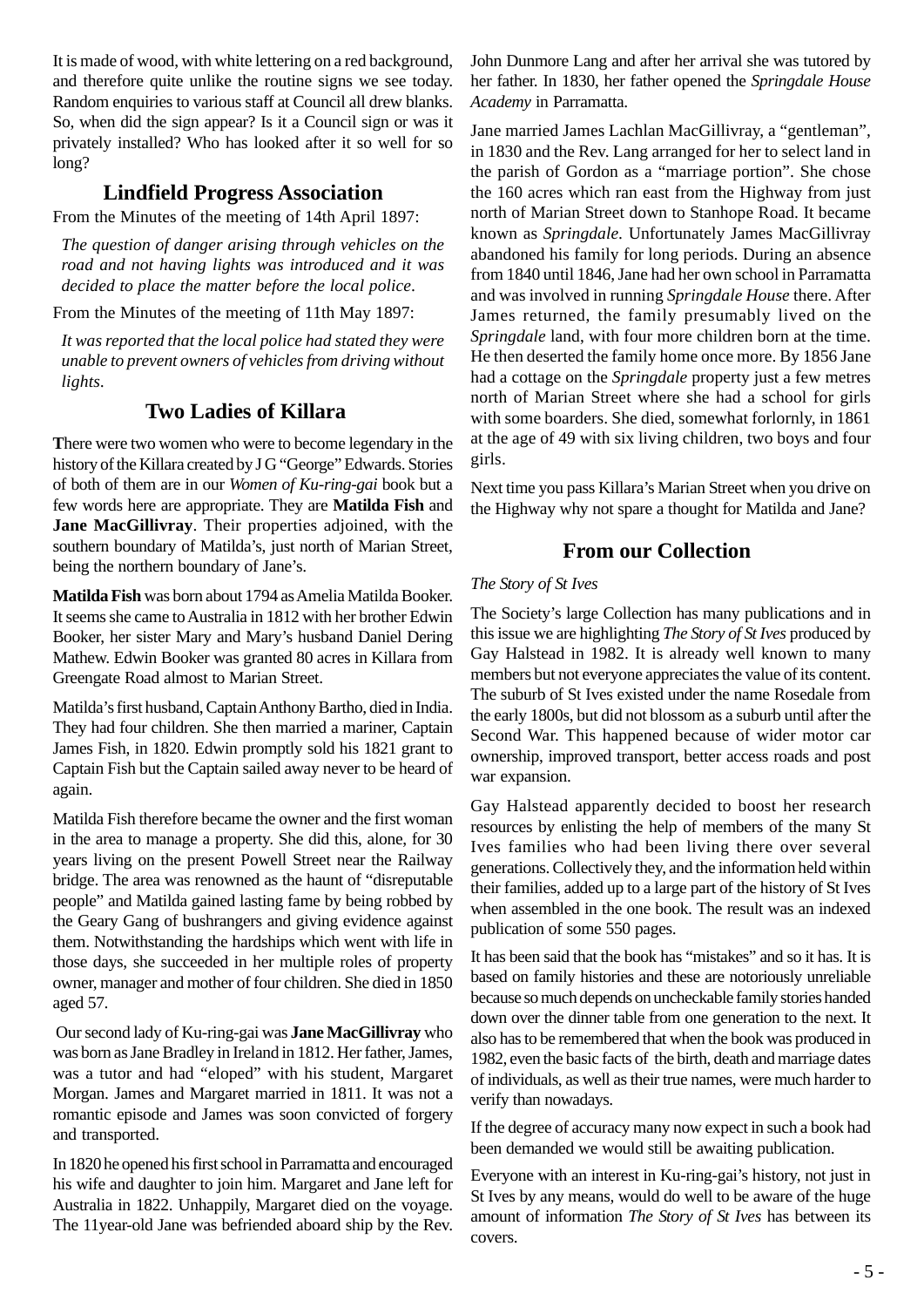It is made of wood, with white lettering on a red background, and therefore quite unlike the routine signs we see today. Random enquiries to various staff at Council all drew blanks. So, when did the sign appear? Is it a Council sign or was it privately installed? Who has looked after it so well for so long?

## **Lindfield Progress Association**

From the Minutes of the meeting of 14th April 1897:

*The question of danger arising through vehicles on the road and not having lights was introduced and it was decided to place the matter before the local police*.

From the Minutes of the meeting of 11th May 1897:

*It was reported that the local police had stated they were unable to prevent owners of vehicles from driving without lights.*

## **Two Ladies of Killara**

**T**here were two women who were to become legendary in the history of the Killara created by J G "George" Edwards. Stories of both of them are in our *Women of Ku-ring-gai* book but a few words here are appropriate. They are **Matilda Fish** and **Jane MacGillivray**. Their properties adjoined, with the southern boundary of Matilda's, just north of Marian Street, being the northern boundary of Jane's.

**Matilda Fish** was born about 1794 as Amelia Matilda Booker. It seems she came to Australia in 1812 with her brother Edwin Booker, her sister Mary and Mary's husband Daniel Dering Mathew. Edwin Booker was granted 80 acres in Killara from Greengate Road almost to Marian Street.

Matilda's first husband, Captain Anthony Bartho, died in India. They had four children. She then married a mariner, Captain James Fish, in 1820. Edwin promptly sold his 1821 grant to Captain Fish but the Captain sailed away never to be heard of again.

Matilda Fish therefore became the owner and the first woman in the area to manage a property. She did this, alone, for 30 years living on the present Powell Street near the Railway bridge. The area was renowned as the haunt of "disreputable people" and Matilda gained lasting fame by being robbed by the Geary Gang of bushrangers and giving evidence against them. Notwithstanding the hardships which went with life in those days, she succeeded in her multiple roles of property owner, manager and mother of four children. She died in 1850 aged 57.

 Our second lady of Ku-ring-gai was **Jane MacGillivray** who was born as Jane Bradley in Ireland in 1812. Her father, James, was a tutor and had "eloped" with his student, Margaret Morgan. James and Margaret married in 1811. It was not a romantic episode and James was soon convicted of forgery and transported.

In 1820 he opened his first school in Parramatta and encouraged his wife and daughter to join him. Margaret and Jane left for Australia in 1822. Unhappily, Margaret died on the voyage. The 11year-old Jane was befriended aboard ship by the Rev. John Dunmore Lang and after her arrival she was tutored by her father. In 1830, her father opened the *Springdale House Academy* in Parramatta.

Jane married James Lachlan MacGillivray, a "gentleman", in 1830 and the Rev. Lang arranged for her to select land in the parish of Gordon as a "marriage portion". She chose the 160 acres which ran east from the Highway from just north of Marian Street down to Stanhope Road. It became known as *Springdale*. Unfortunately James MacGillivray abandoned his family for long periods. During an absence from 1840 until 1846, Jane had her own school in Parramatta and was involved in running *Springdale House* there. After James returned, the family presumably lived on the *Springdale* land, with four more children born at the time. He then deserted the family home once more. By 1856 Jane had a cottage on the *Springdale* property just a few metres north of Marian Street where she had a school for girls with some boarders. She died, somewhat forlornly, in 1861 at the age of 49 with six living children, two boys and four girls.

Next time you pass Killara's Marian Street when you drive on the Highway why not spare a thought for Matilda and Jane?

## **From our Collection**

#### *The Story of St Ives*

The Society's large Collection has many publications and in this issue we are highlighting *The Story of St Ives* produced by Gay Halstead in 1982. It is already well known to many members but not everyone appreciates the value of its content. The suburb of St Ives existed under the name Rosedale from the early 1800s, but did not blossom as a suburb until after the Second War. This happened because of wider motor car ownership, improved transport, better access roads and post war expansion.

Gay Halstead apparently decided to boost her research resources by enlisting the help of members of the many St Ives families who had been living there over several generations. Collectively they, and the information held within their families, added up to a large part of the history of St Ives when assembled in the one book. The result was an indexed publication of some 550 pages.

It has been said that the book has "mistakes" and so it has. It is based on family histories and these are notoriously unreliable because so much depends on uncheckable family stories handed down over the dinner table from one generation to the next. It also has to be remembered that when the book was produced in 1982, even the basic facts of the birth, death and marriage dates of individuals, as well as their true names, were much harder to verify than nowadays.

If the degree of accuracy many now expect in such a book had been demanded we would still be awaiting publication.

Everyone with an interest in Ku-ring-gai's history, not just in St Ives by any means, would do well to be aware of the huge amount of information *The Story of St Ives* has between its covers.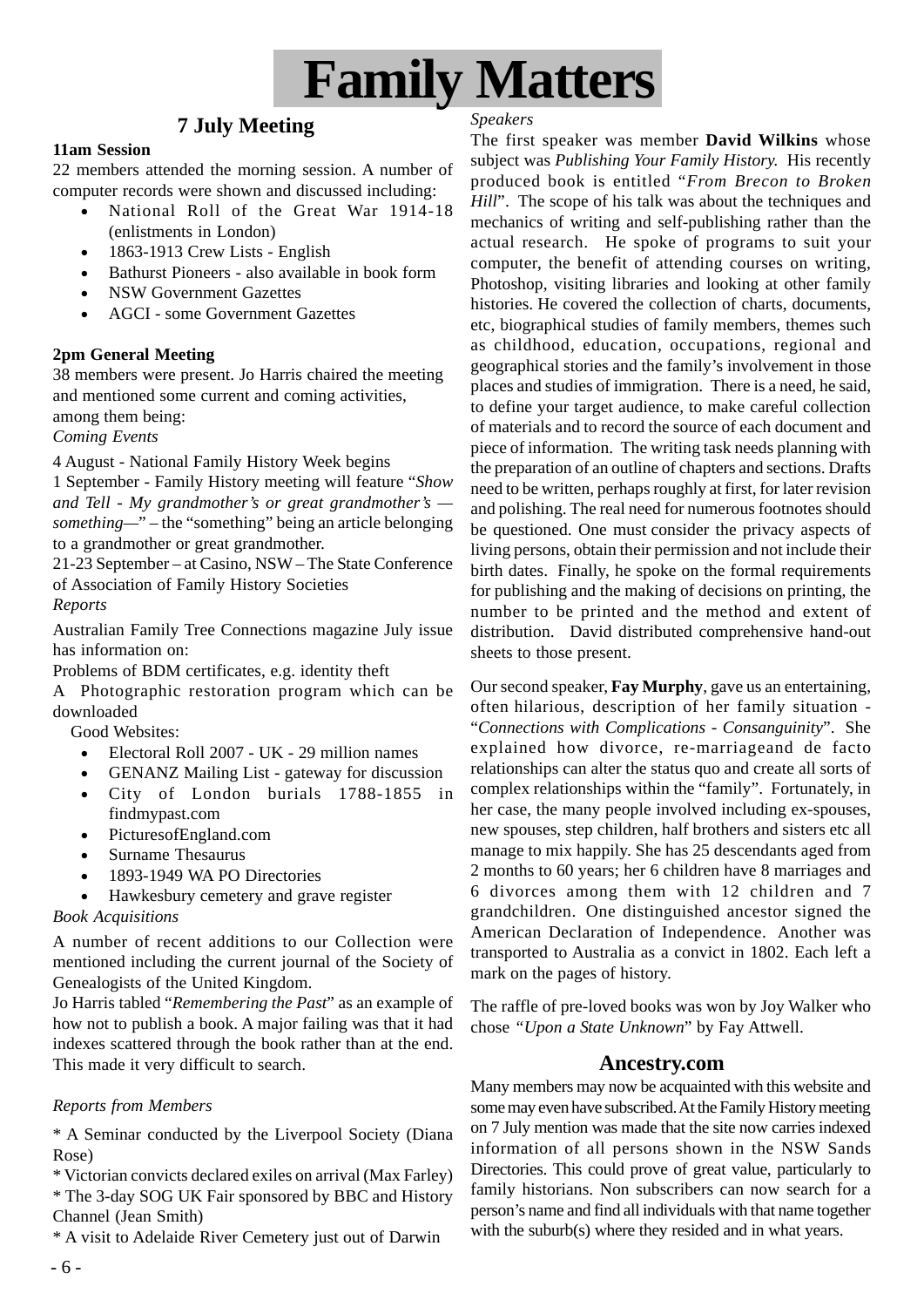

## **7 July Meeting**

#### **11am Session**

22 members attended the morning session. A number of computer records were shown and discussed including:

- National Roll of the Great War 1914-18 (enlistments in London)
- 1863-1913 Crew Lists English
- Bathurst Pioneers also available in book form
- NSW Government Gazettes
- AGCI some Government Gazettes

#### **2pm General Meeting**

38 members were present. Jo Harris chaired the meeting and mentioned some current and coming activities, among them being:

*Coming Events*

4 August - National Family History Week begins

1 September - Family History meeting will feature "*Show and Tell - My grandmother's or great grandmother's something—*" – the "something" being an article belonging to a grandmother or great grandmother.

21-23 September – at Casino, NSW – The State Conference of Association of Family History Societies

#### *Reports*

Australian Family Tree Connections magazine July issue has information on:

Problems of BDM certificates, e.g. identity theft

A Photographic restoration program which can be downloaded

Good Websites:

- Electoral Roll 2007 UK 29 million names
- GENANZ Mailing List gateway for discussion
- City of London burials 1788-1855 in findmypast.com
- PicturesofEngland.com
- Surname Thesaurus
- 1893-1949 WA PO Directories
- Hawkesbury cemetery and grave register

#### *Book Acquisitions*

A number of recent additions to our Collection were mentioned including the current journal of the Society of Genealogists of the United Kingdom.

Jo Harris tabled "*Remembering the Past*" as an example of how not to publish a book. A major failing was that it had indexes scattered through the book rather than at the end. This made it very difficult to search.

#### *Reports from Members*

\* A Seminar conducted by the Liverpool Society (Diana Rose)

\* Victorian convicts declared exiles on arrival (Max Farley) \* The 3-day SOG UK Fair sponsored by BBC and History Channel (Jean Smith)

\* A visit to Adelaide River Cemetery just out of Darwin

#### *Speakers*

The first speaker was member **David Wilkins** whose subject was *Publishing Your Family History.* His recently produced book is entitled "*From Brecon to Broken Hill*". The scope of his talk was about the techniques and mechanics of writing and self-publishing rather than the actual research. He spoke of programs to suit your computer, the benefit of attending courses on writing, Photoshop, visiting libraries and looking at other family histories. He covered the collection of charts, documents, etc, biographical studies of family members, themes such as childhood, education, occupations, regional and geographical stories and the family's involvement in those places and studies of immigration. There is a need, he said, to define your target audience, to make careful collection of materials and to record the source of each document and piece of information. The writing task needs planning with the preparation of an outline of chapters and sections. Drafts need to be written, perhaps roughly at first, for later revision and polishing. The real need for numerous footnotes should be questioned. One must consider the privacy aspects of living persons, obtain their permission and not include their birth dates. Finally, he spoke on the formal requirements for publishing and the making of decisions on printing, the number to be printed and the method and extent of distribution. David distributed comprehensive hand-out sheets to those present.

Our second speaker, **Fay Murphy**, gave us an entertaining, often hilarious, description of her family situation - "*Connections with Complications - Consanguinity*". She explained how divorce, re-marriageand de facto relationships can alter the status quo and create all sorts of complex relationships within the "family". Fortunately, in her case, the many people involved including ex-spouses, new spouses, step children, half brothers and sisters etc all manage to mix happily. She has 25 descendants aged from 2 months to 60 years; her 6 children have 8 marriages and 6 divorces among them with 12 children and 7 grandchildren. One distinguished ancestor signed the American Declaration of Independence. Another was transported to Australia as a convict in 1802. Each left a mark on the pages of history.

The raffle of pre-loved books was won by Joy Walker who chose *"Upon a State Unknown*" by Fay Attwell.

#### **Ancestry.com**

Many members may now be acquainted with this website and some may even have subscribed. At the Family History meeting on 7 July mention was made that the site now carries indexed information of all persons shown in the NSW Sands Directories. This could prove of great value, particularly to family historians. Non subscribers can now search for a person's name and find all individuals with that name together with the suburb(s) where they resided and in what years.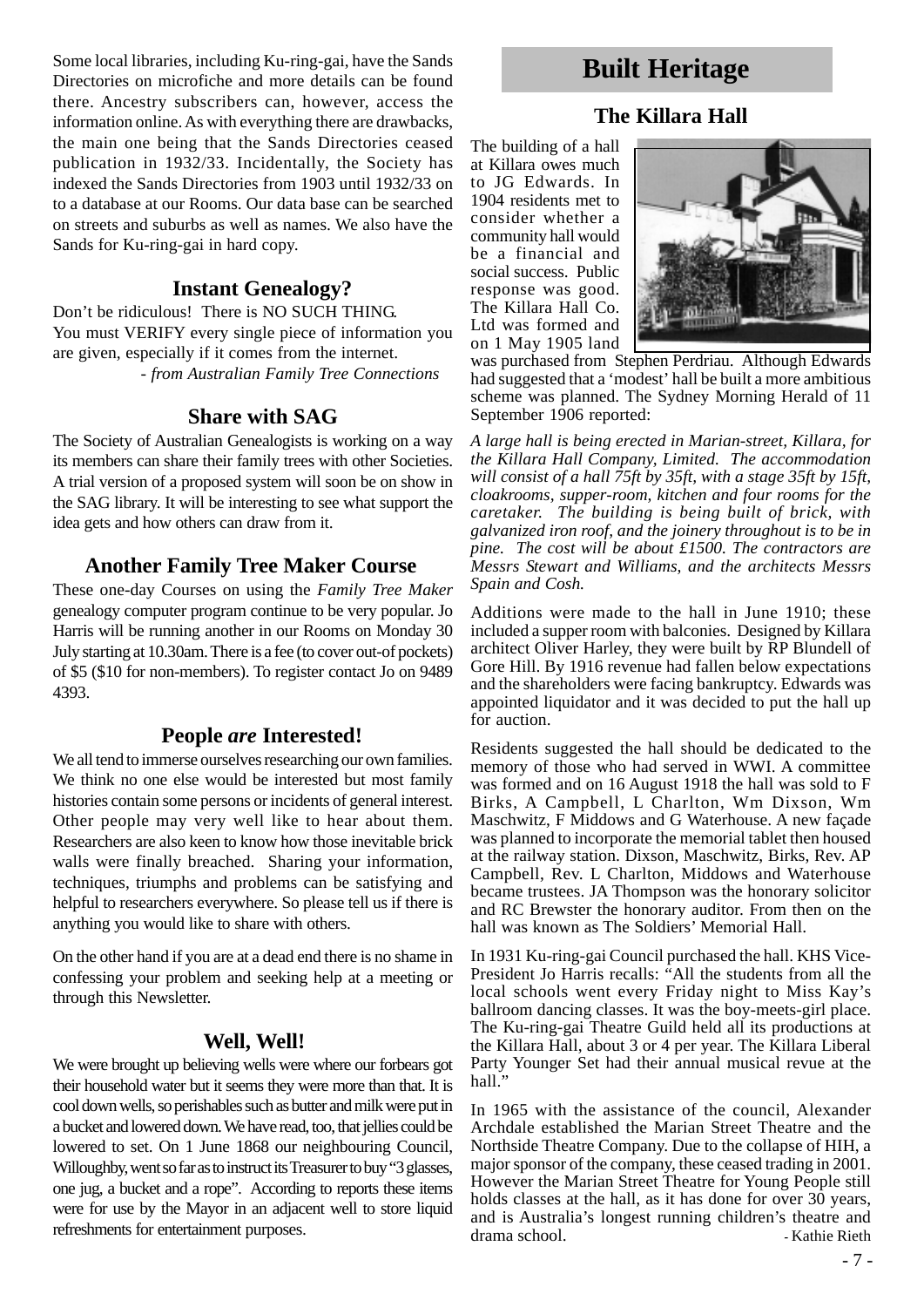Some local libraries, including Ku-ring-gai, have the Sands Directories on microfiche and more details can be found there. Ancestry subscribers can, however, access the information online. As with everything there are drawbacks, the main one being that the Sands Directories ceased publication in 1932/33. Incidentally, the Society has indexed the Sands Directories from 1903 until 1932/33 on to a database at our Rooms. Our data base can be searched on streets and suburbs as well as names. We also have the Sands for Ku-ring-gai in hard copy.

#### **Instant Genealogy?**

Don't be ridiculous! There is NO SUCH THING. You must VERIFY every single piece of information you are given, especially if it comes from the internet. - *from Australian Family Tree Connections*

## **Share with SAG**

The Society of Australian Genealogists is working on a way its members can share their family trees with other Societies. A trial version of a proposed system will soon be on show in the SAG library. It will be interesting to see what support the idea gets and how others can draw from it.

## **Another Family Tree Maker Course**

These one-day Courses on using the *Family Tree Maker* genealogy computer program continue to be very popular. Jo Harris will be running another in our Rooms on Monday 30 July starting at 10.30am. There is a fee (to cover out-of pockets) of \$5 (\$10 for non-members). To register contact Jo on 9489 4393.

## **People** *are* **Interested!**

We all tend to immerse ourselves researching our own families. We think no one else would be interested but most family histories contain some persons or incidents of general interest. Other people may very well like to hear about them. Researchers are also keen to know how those inevitable brick walls were finally breached. Sharing your information, techniques, triumphs and problems can be satisfying and helpful to researchers everywhere. So please tell us if there is anything you would like to share with others.

On the other hand if you are at a dead end there is no shame in confessing your problem and seeking help at a meeting or through this Newsletter.

## **Well, Well!**

We were brought up believing wells were where our forbears got their household water but it seems they were more than that. It is cool down wells, so perishables such as butter and milk were put in a bucket and lowered down. We have read, too, that jellies could be lowered to set. On 1 June 1868 our neighbouring Council, Willoughby, went so far as to instruct its Treasurer to buy "3 glasses, one jug, a bucket and a rope". According to reports these items were for use by the Mayor in an adjacent well to store liquid refreshments for entertainment purposes.

# **Built Heritage**

## **The Killara Hall**

The building of a hall at Killara owes much to JG Edwards. In 1904 residents met to consider whether a community hall would be a financial and social success. Public response was good. The Killara Hall Co. Ltd was formed and on 1 May 1905 land



was purchased from Stephen Perdriau. Although Edwards had suggested that a 'modest' hall be built a more ambitious scheme was planned. The Sydney Morning Herald of 11 September 1906 reported:

*A large hall is being erected in Marian-street, Killara, for the Killara Hall Company, Limited. The accommodation will consist of a hall 75ft by 35ft, with a stage 35ft by 15ft, cloakrooms, supper-room, kitchen and four rooms for the caretaker. The building is being built of brick, with galvanized iron roof, and the joinery throughout is to be in pine. The cost will be about £1500. The contractors are Messrs Stewart and Williams, and the architects Messrs Spain and Cosh.*

Additions were made to the hall in June 1910; these included a supper room with balconies. Designed by Killara architect Oliver Harley, they were built by RP Blundell of Gore Hill. By 1916 revenue had fallen below expectations and the shareholders were facing bankruptcy. Edwards was appointed liquidator and it was decided to put the hall up for auction.

Residents suggested the hall should be dedicated to the memory of those who had served in WWI. A committee was formed and on 16 August 1918 the hall was sold to F Birks, A Campbell, L Charlton, Wm Dixson, Wm Maschwitz, F Middows and G Waterhouse. A new façade was planned to incorporate the memorial tablet then housed at the railway station. Dixson, Maschwitz, Birks, Rev. AP Campbell, Rev. L Charlton, Middows and Waterhouse became trustees. JA Thompson was the honorary solicitor and RC Brewster the honorary auditor. From then on the hall was known as The Soldiers' Memorial Hall.

In 1931 Ku-ring-gai Council purchased the hall. KHS Vice-President Jo Harris recalls: "All the students from all the local schools went every Friday night to Miss Kay's ballroom dancing classes. It was the boy-meets-girl place. The Ku-ring-gai Theatre Guild held all its productions at the Killara Hall, about 3 or 4 per year. The Killara Liberal Party Younger Set had their annual musical revue at the hall."

In 1965 with the assistance of the council, Alexander Archdale established the Marian Street Theatre and the Northside Theatre Company. Due to the collapse of HIH, a major sponsor of the company, these ceased trading in 2001. However the Marian Street Theatre for Young People still holds classes at the hall, as it has done for over  $30$  years, and is Australia's longest running children's theatre and drama school. *- Kathie Rieth*